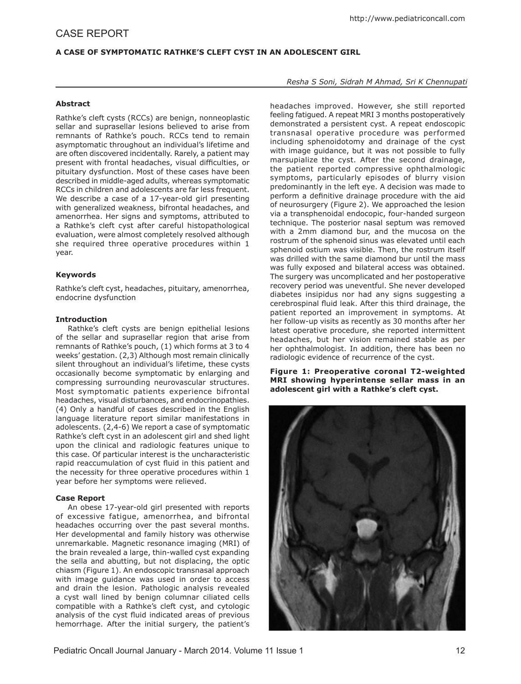# **A Case of Symptomatic Rathke's Cleft Cyst in an Adolescent Girl**

## **Abstract**

Rathke's cleft cysts (RCCs) are benign, nonneoplastic sellar and suprasellar lesions believed to arise from remnants of Rathke's pouch. RCCs tend to remain asymptomatic throughout an individual's lifetime and are often discovered incidentally. Rarely, a patient may present with frontal headaches, visual difficulties, or pituitary dysfunction. Most of these cases have been described in middle-aged adults, whereas symptomatic RCCs in children and adolescents are far less frequent. We describe a case of a 17-year-old girl presenting with generalized weakness, bifrontal headaches, and amenorrhea. Her signs and symptoms, attributed to a Rathke's cleft cyst after careful histopathological evaluation, were almost completely resolved although she required three operative procedures within 1 year.

## **Keywords**

Rathke's cleft cyst, headaches, pituitary, amenorrhea, endocrine dysfunction

#### **Introduction**

Rathke's cleft cysts are benign epithelial lesions of the sellar and suprasellar region that arise from remnants of Rathke's pouch, (1) which forms at 3 to 4 weeks' gestation. (2,3) Although most remain clinically silent throughout an individual's lifetime, these cysts occasionally become symptomatic by enlarging and compressing surrounding neurovascular structures. Most symptomatic patients experience bifrontal headaches, visual disturbances, and endocrinopathies. (4) Only a handful of cases described in the English language literature report similar manifestations in adolescents. (2,4-6) We report a case of symptomatic Rathke's cleft cyst in an adolescent girl and shed light upon the clinical and radiologic features unique to this case. Of particular interest is the uncharacteristic rapid reaccumulation of cyst fluid in this patient and the necessity for three operative procedures within 1 year before her symptoms were relieved.

#### **Case Report**

An obese 17-year-old girl presented with reports of excessive fatigue, amenorrhea, and bifrontal headaches occurring over the past several months. Her developmental and family history was otherwise unremarkable. Magnetic resonance imaging (MRI) of the brain revealed a large, thin-walled cyst expanding the sella and abutting, but not displacing, the optic chiasm (Figure 1). An endoscopic transnasal approach with image guidance was used in order to access and drain the lesion. Pathologic analysis revealed a cyst wall lined by benign columnar ciliated cells compatible with a Rathke's cleft cyst, and cytologic analysis of the cyst fluid indicated areas of previous hemorrhage. After the initial surgery, the patient's

### *Resha S Soni, Sidrah M Ahmad, Sri K Chennupati*

headaches improved. However, she still reported feeling fatigued. A repeat MRI 3 months postoperatively demonstrated a persistent cyst. A repeat endoscopic transnasal operative procedure was performed including sphenoidotomy and drainage of the cyst with image guidance, but it was not possible to fully marsupialize the cyst. After the second drainage, the patient reported compressive ophthalmologic symptoms, particularly episodes of blurry vision predominantly in the left eye. A decision was made to perform a definitive drainage procedure with the aid of neurosurgery (Figure 2). We approached the lesion via a transphenoidal endocopic, four-handed surgeon technique. The posterior nasal septum was removed with a 2mm diamond bur, and the mucosa on the rostrum of the sphenoid sinus was elevated until each sphenoid ostium was visible. Then, the rostrum itself was drilled with the same diamond bur until the mass was fully exposed and bilateral access was obtained. The surgery was uncomplicated and her postoperative recovery period was uneventful. She never developed diabetes insipidus nor had any signs suggesting a cerebrospinal fluid leak. After this third drainage, the patient reported an improvement in symptoms. At her follow-up visits as recently as 30 months after her latest operative procedure, she reported intermittent headaches, but her vision remained stable as per her ophthalmologist. In addition, there has been no radiologic evidence of recurrence of the cyst.

**Figure 1: Preoperative coronal T2-weighted MRI showing hyperintense sellar mass in an adolescent girl with a Rathke's cleft cyst.**

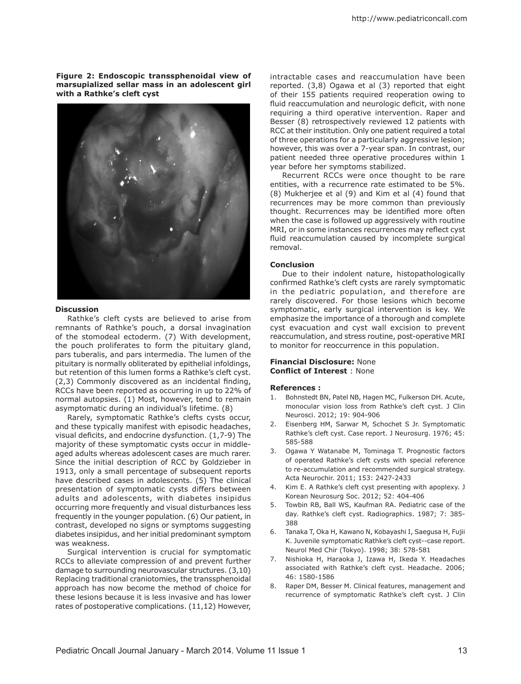**Figure 2: Endoscopic transsphenoidal view of marsupialized sellar mass in an adolescent girl with a Rathke's cleft cyst** 



#### **Discussion**

Rathke's cleft cysts are believed to arise from remnants of Rathke's pouch, a dorsal invagination of the stomodeal ectoderm. (7) With development, the pouch proliferates to form the pituitary gland, pars tuberalis, and pars intermedia. The lumen of the pituitary is normally obliterated by epithelial infoldings, but retention of this lumen forms a Rathke's cleft cyst. (2,3) Commonly discovered as an incidental finding, RCCs have been reported as occurring in up to 22% of normal autopsies. (1) Most, however, tend to remain asymptomatic during an individual's lifetime. (8)

Rarely, symptomatic Rathke's clefts cysts occur, and these typically manifest with episodic headaches, visual deficits, and endocrine dysfunction. (1,7-9) The majority of these symptomatic cysts occur in middleaged adults whereas adolescent cases are much rarer. Since the initial description of RCC by Goldzieber in 1913, only a small percentage of subsequent reports have described cases in adolescents. (5) The clinical presentation of symptomatic cysts differs between adults and adolescents, with diabetes insipidus occurring more frequently and visual disturbances less frequently in the younger population. (6) Our patient, in contrast, developed no signs or symptoms suggesting diabetes insipidus, and her initial predominant symptom was weakness.

Surgical intervention is crucial for symptomatic RCCs to alleviate compression of and prevent further damage to surrounding neurovascular structures. (3,10) Replacing traditional craniotomies, the transsphenoidal approach has now become the method of choice for these lesions because it is less invasive and has lower rates of postoperative complications. (11,12) However,

intractable cases and reaccumulation have been reported. (3,8) Ogawa et al (3) reported that eight of their 155 patients required reoperation owing to fluid reaccumulation and neurologic deficit, with none requiring a third operative intervention. Raper and Besser (8) retrospectively reviewed 12 patients with RCC at their institution. Only one patient required a total of three operations for a particularly aggressive lesion; however, this was over a 7-year span. In contrast, our patient needed three operative procedures within 1 year before her symptoms stabilized.

Recurrent RCCs were once thought to be rare entities, with a recurrence rate estimated to be 5%. (8) Mukherjee et al (9) and Kim et al (4) found that recurrences may be more common than previously thought. Recurrences may be identified more often when the case is followed up aggressively with routine MRI, or in some instances recurrences may reflect cyst fluid reaccumulation caused by incomplete surgical removal.

#### **Conclusion**

Due to their indolent nature, histopathologically confirmed Rathke's cleft cysts are rarely symptomatic in the pediatric population, and therefore are rarely discovered. For those lesions which become symptomatic, early surgical intervention is key. We emphasize the importance of a thorough and complete cyst evacuation and cyst wall excision to prevent reaccumulation, and stress routine, post-operative MRI to monitor for reoccurrence in this population.

## **Financial Disclosure:** None **Conflict of Interest** : None

#### **References :**

- 1. Bohnstedt BN, Patel NB, Hagen MC, Fulkerson DH. Acute, monocular vision loss from Rathke's cleft cyst. J Clin Neurosci. 2012; 19: 904-906
- 2. Eisenberg HM, Sarwar M, Schochet S Jr. Symptomatic Rathke's cleft cyst. Case report. J Neurosurg. 1976; 45: 585-588
- 3. Ogawa Y Watanabe M, Tominaga T. Prognostic factors of operated Rathke's cleft cysts with special reference to re-accumulation and recommended surgical strategy. Acta Neurochir. 2011; 153: 2427-2433
- 4. Kim E. A Rathke's cleft cyst presenting with apoplexy. J Korean Neurosurg Soc. 2012; 52: 404-406
- 5. Towbin RB, Ball WS, Kaufman RA. Pediatric case of the day. Rathke's cleft cyst. Radiographics. 1987; 7: 385- 388
- Tanaka T, Oka H, Kawano N, Kobayashi I, Saegusa H, Fujii 6. K. Juvenile symptomatic Rathke's cleft cyst--case report. Neurol Med Chir (Tokyo). 1998; 38: 578-581
- 7. Nishioka H, Haraoka J, Izawa H, Ikeda Y. Headaches associated with Rathke's cleft cyst. Headache. 2006; 46: 1580-1586
- 8. Raper DM, Besser M. Clinical features, management and recurrence of symptomatic Rathke's cleft cyst. J Clin